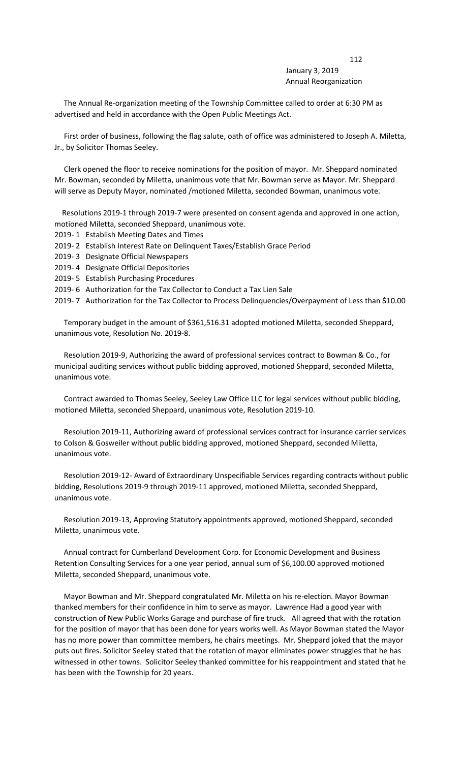## 112 January 3, 2019 Annual Reorganization

 The Annual Re-organization meeting of the Township Committee called to order at 6:30 PM as advertised and held in accordance with the Open Public Meetings Act.

 First order of business, following the flag salute, oath of office was administered to Joseph A. Miletta, Jr., by Solicitor Thomas Seeley.

 Clerk opened the floor to receive nominations for the position of mayor. Mr. Sheppard nominated Mr. Bowman, seconded by Miletta, unanimous vote that Mr. Bowman serve as Mayor. Mr. Sheppard will serve as Deputy Mayor, nominated /motioned Miletta, seconded Bowman, unanimous vote.

 Resolutions 2019-1 through 2019-7 were presented on consent agenda and approved in one action, motioned Miletta, seconded Sheppard, unanimous vote.

- 2019- 1 Establish Meeting Dates and Times
- 2019- 2 Establish Interest Rate on Delinquent Taxes/Establish Grace Period
- 2019- 3 Designate Official Newspapers
- 2019- 4 Designate Official Depositories
- 2019- 5 Establish Purchasing Procedures
- 2019- 6 Authorization for the Tax Collector to Conduct a Tax Lien Sale

2019- 7 Authorization for the Tax Collector to Process Delinquencies/Overpayment of Less than \$10.00

 Temporary budget in the amount of \$361,516.31 adopted motioned Miletta, seconded Sheppard, unanimous vote, Resolution No. 2019-8.

 Resolution 2019-9, Authorizing the award of professional services contract to Bowman & Co., for municipal auditing services without public bidding approved, motioned Sheppard, seconded Miletta, unanimous vote.

 Contract awarded to Thomas Seeley, Seeley Law Office LLC for legal services without public bidding, motioned Miletta, seconded Sheppard, unanimous vote, Resolution 2019-10.

 Resolution 2019-11, Authorizing award of professional services contract for insurance carrier services to Colson & Gosweiler without public bidding approved, motioned Sheppard, seconded Miletta, unanimous vote.

 Resolution 2019-12- Award of Extraordinary Unspecifiable Services regarding contracts without public bidding, Resolutions 2019-9 through 2019-11 approved, motioned Miletta, seconded Sheppard, unanimous vote.

 Resolution 2019-13, Approving Statutory appointments approved, motioned Sheppard, seconded Miletta, unanimous vote.

 Annual contract for Cumberland Development Corp. for Economic Development and Business Retention Consulting Services for a one year period, annual sum of \$6,100.00 approved motioned Miletta, seconded Sheppard, unanimous vote.

 Mayor Bowman and Mr. Sheppard congratulated Mr. Miletta on his re-election. Mayor Bowman thanked members for their confidence in him to serve as mayor. Lawrence Had a good year with construction of New Public Works Garage and purchase of fire truck. All agreed that with the rotation for the position of mayor that has been done for years works well. As Mayor Bowman stated the Mayor has no more power than committee members, he chairs meetings. Mr. Sheppard joked that the mayor puts out fires. Solicitor Seeley stated that the rotation of mayor eliminates power struggles that he has witnessed in other towns. Solicitor Seeley thanked committee for his reappointment and stated that he has been with the Township for 20 years.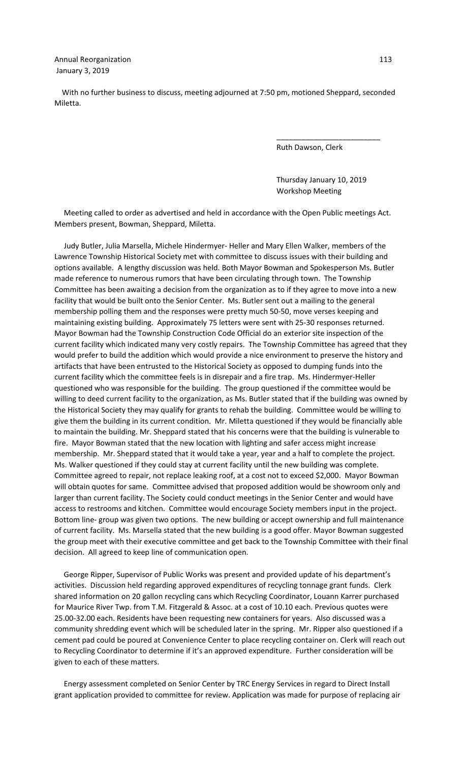With no further business to discuss, meeting adjourned at 7:50 pm, motioned Sheppard, seconded Miletta.

 $\overline{\phantom{a}}$  , which is a set of the contract of the contract of the contract of the contract of the contract of the contract of the contract of the contract of the contract of the contract of the contract of the contract

Ruth Dawson, Clerk

 Thursday January 10, 2019 Workshop Meeting

 Meeting called to order as advertised and held in accordance with the Open Public meetings Act. Members present, Bowman, Sheppard, Miletta.

 Judy Butler, Julia Marsella, Michele Hindermyer- Heller and Mary Ellen Walker, members of the Lawrence Township Historical Society met with committee to discuss issues with their building and options available. A lengthy discussion was held. Both Mayor Bowman and Spokesperson Ms. Butler made reference to numerous rumors that have been circulating through town. The Township Committee has been awaiting a decision from the organization as to if they agree to move into a new facility that would be built onto the Senior Center. Ms. Butler sent out a mailing to the general membership polling them and the responses were pretty much 50-50, move verses keeping and maintaining existing building. Approximately 75 letters were sent with 25-30 responses returned. Mayor Bowman had the Township Construction Code Official do an exterior site inspection of the current facility which indicated many very costly repairs. The Township Committee has agreed that they would prefer to build the addition which would provide a nice environment to preserve the history and artifacts that have been entrusted to the Historical Society as opposed to dumping funds into the current facility which the committee feels is in disrepair and a fire trap. Ms. Hindermyer-Heller questioned who was responsible for the building. The group questioned if the committee would be willing to deed current facility to the organization, as Ms. Butler stated that if the building was owned by the Historical Society they may qualify for grants to rehab the building. Committee would be willing to give them the building in its current condition. Mr. Miletta questioned if they would be financially able to maintain the building. Mr. Sheppard stated that his concerns were that the building is vulnerable to fire. Mayor Bowman stated that the new location with lighting and safer access might increase membership. Mr. Sheppard stated that it would take a year, year and a half to complete the project. Ms. Walker questioned if they could stay at current facility until the new building was complete. Committee agreed to repair, not replace leaking roof, at a cost not to exceed \$2,000. Mayor Bowman will obtain quotes for same. Committee advised that proposed addition would be showroom only and larger than current facility. The Society could conduct meetings in the Senior Center and would have access to restrooms and kitchen. Committee would encourage Society members input in the project. Bottom line- group was given two options. The new building or accept ownership and full maintenance of current facility. Ms. Marsella stated that the new building is a good offer. Mayor Bowman suggested the group meet with their executive committee and get back to the Township Committee with their final decision. All agreed to keep line of communication open.

 George Ripper, Supervisor of Public Works was present and provided update of his department's activities. Discussion held regarding approved expenditures of recycling tonnage grant funds. Clerk shared information on 20 gallon recycling cans which Recycling Coordinator, Louann Karrer purchased for Maurice River Twp. from T.M. Fitzgerald & Assoc. at a cost of 10.10 each. Previous quotes were 25.00-32.00 each. Residents have been requesting new containers for years. Also discussed was a community shredding event which will be scheduled later in the spring. Mr. Ripper also questioned if a cement pad could be poured at Convenience Center to place recycling container on. Clerk will reach out to Recycling Coordinator to determine if it's an approved expenditure. Further consideration will be given to each of these matters.

 Energy assessment completed on Senior Center by TRC Energy Services in regard to Direct Install grant application provided to committee for review. Application was made for purpose of replacing air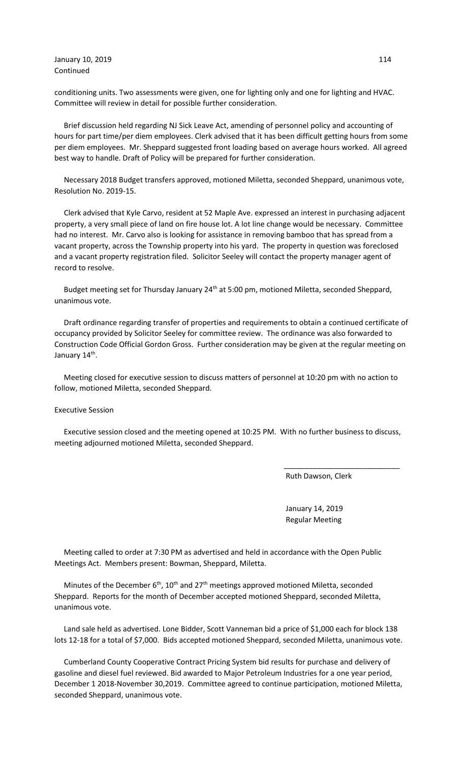January 10, 2019 114 Continued

conditioning units. Two assessments were given, one for lighting only and one for lighting and HVAC. Committee will review in detail for possible further consideration.

 Brief discussion held regarding NJ Sick Leave Act, amending of personnel policy and accounting of hours for part time/per diem employees. Clerk advised that it has been difficult getting hours from some per diem employees. Mr. Sheppard suggested front loading based on average hours worked. All agreed best way to handle. Draft of Policy will be prepared for further consideration.

 Necessary 2018 Budget transfers approved, motioned Miletta, seconded Sheppard, unanimous vote, Resolution No. 2019-15.

 Clerk advised that Kyle Carvo, resident at 52 Maple Ave. expressed an interest in purchasing adjacent property, a very small piece of land on fire house lot. A lot line change would be necessary. Committee had no interest. Mr. Carvo also is looking for assistance in removing bamboo that has spread from a vacant property, across the Township property into his yard. The property in question was foreclosed and a vacant property registration filed. Solicitor Seeley will contact the property manager agent of record to resolve.

Budget meeting set for Thursday January 24<sup>th</sup> at 5:00 pm, motioned Miletta, seconded Sheppard, unanimous vote.

 Draft ordinance regarding transfer of properties and requirements to obtain a continued certificate of occupancy provided by Solicitor Seeley for committee review. The ordinance was also forwarded to Construction Code Official Gordon Gross. Further consideration may be given at the regular meeting on January 14<sup>th</sup>.

 Meeting closed for executive session to discuss matters of personnel at 10:20 pm with no action to follow, motioned Miletta, seconded Sheppard.

Executive Session

 Executive session closed and the meeting opened at 10:25 PM. With no further business to discuss, meeting adjourned motioned Miletta, seconded Sheppard.

 $\overline{\phantom{a}}$  , and the contract of the contract of the contract of the contract of the contract of the contract of the contract of the contract of the contract of the contract of the contract of the contract of the contrac

Ruth Dawson, Clerk

 January 14, 2019 Regular Meeting

 Meeting called to order at 7:30 PM as advertised and held in accordance with the Open Public Meetings Act. Members present: Bowman, Sheppard, Miletta.

Minutes of the December  $6<sup>th</sup>$ ,  $10<sup>th</sup>$  and 27<sup>th</sup> meetings approved motioned Miletta, seconded Sheppard. Reports for the month of December accepted motioned Sheppard, seconded Miletta, unanimous vote.

 Land sale held as advertised. Lone Bidder, Scott Vanneman bid a price of \$1,000 each for block 138 lots 12-18 for a total of \$7,000. Bids accepted motioned Sheppard, seconded Miletta, unanimous vote.

 Cumberland County Cooperative Contract Pricing System bid results for purchase and delivery of gasoline and diesel fuel reviewed. Bid awarded to Major Petroleum Industries for a one year period, December 1 2018-November 30,2019. Committee agreed to continue participation, motioned Miletta, seconded Sheppard, unanimous vote.